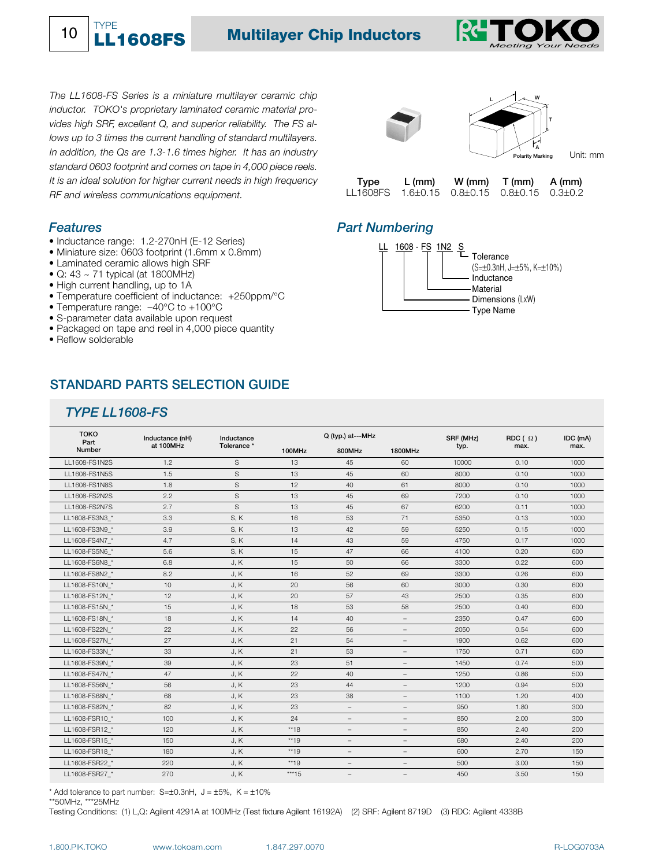

**TYPE**<br>**I I 1608ES** Multilayer Chip Inductors



*The LL1608-FS Series is a miniature multilayer ceramic chip inductor. TOKO's proprietary laminated ceramic material provides high SRF, excellent Q, and superior reliability. The FS allows up to 3 times the current handling of standard multilayers. In addition, the Qs are 1.3-1.6 times higher. It has an industry standard 0603 footprint and comes on tape in 4,000 piece reels. It is an ideal solution for higher current needs in high frequency RF and wireless communications equipment.*

#### *Features*

- Inductance range: 1.2-270nH (E-12 Series)
- Miniature size: 0603 footprint (1.6mm x 0.8mm)
- Laminated ceramic allows high SRF
- Q: 43  $\sim$  71 typical (at 1800MHz)
- High current handling, up to 1A
- Temperature coefficient of inductance: +250ppm/°C
- Temperature range: –40°C to +100°C
- S-parameter data available upon request
- Packaged on tape and reel in 4,000 piece quantity
- Reflow solderable

# **STANDARD PARTS SELECTION GUIDE**

# *TYPE LL1608-FS*

| <b>TOKO</b><br>Part | Inductance (nH)<br>at 100MHz | Inductance<br>Tolerance * | Q (typ.) at---MHz |                          |                          | SRF (MHz) | RDC(A) | IDC (mA) |
|---------------------|------------------------------|---------------------------|-------------------|--------------------------|--------------------------|-----------|--------|----------|
| <b>Number</b>       |                              |                           | 100MHz            | 800MHz                   | 1800MHz                  | typ.      | max.   | max.     |
| LL1608-FS1N2S       | 1.2                          | S                         | 13                | 45                       | 60                       | 10000     | 0.10   | 1000     |
| LL1608-FS1N5S       | 1.5                          | $\mathbf S$               | 13                | 45                       | 60                       | 8000      | 0.10   | 1000     |
| LL1608-FS1N8S       | 1.8                          | S                         | 12                | 40                       | 61                       | 8000      | 0.10   | 1000     |
| LL1608-FS2N2S       | 2.2                          | S                         | 13                | 45                       | 69                       | 7200      | 0.10   | 1000     |
| LL1608-FS2N7S       | 2.7                          | S                         | 13                | 45                       | 67                       | 6200      | 0.11   | 1000     |
| LL1608-FS3N3 *      | 3.3                          | S, K                      | 16                | 53                       | 71                       | 5350      | 0.13   | 1000     |
| LL1608-FS3N9 *      | 3.9                          | S, K                      | 13                | 42                       | 59                       | 5250      | 0.15   | 1000     |
| LL1608-FS4N7_*      | 4.7                          | S, K                      | 14                | 43                       | 59                       | 4750      | 0.17   | 1000     |
| LL1608-FS5N6 *      | 5.6                          | S, K                      | 15                | 47                       | 66                       | 4100      | 0.20   | 600      |
| LL1608-FS6N8 *      | 6.8                          | J, K                      | 15                | 50                       | 66                       | 3300      | 0.22   | 600      |
| LL1608-FS8N2 *      | 8.2                          | J, K                      | 16                | 52                       | 69                       | 3300      | 0.26   | 600      |
| LL1608-FS10N *      | 10                           | J, K                      | 20                | 56                       | 60                       | 3000      | 0.30   | 600      |
| LL1608-FS12N *      | 12                           | J, K                      | 20                | 57                       | 43                       | 2500      | 0.35   | 600      |
| LL1608-FS15N *      | 15                           | J, K                      | 18                | 53                       | 58                       | 2500      | 0.40   | 600      |
| LL1608-FS18N *      | 18                           | J, K                      | 14                | 40                       | $\overline{\phantom{0}}$ | 2350      | 0.47   | 600      |
| LL1608-FS22N *      | 22                           | J, K                      | 22                | 56                       |                          | 2050      | 0.54   | 600      |
| LL1608-FS27N *      | 27                           | J, K                      | 21                | 54                       | $\equiv$                 | 1900      | 0.62   | 600      |
| LL1608-FS33N *      | 33                           | J, K                      | 21                | 53                       |                          | 1750      | 0.71   | 600      |
| LL1608-FS39N *      | 39                           | J, K                      | 23                | 51                       | $\qquad \qquad -$        | 1450      | 0.74   | 500      |
| LL1608-FS47N *      | 47                           | J, K                      | 22                | 40                       | $\qquad \qquad -$        | 1250      | 0.86   | 500      |
| LL1608-FS56N *      | 56                           | J, K                      | 23                | 44                       |                          | 1200      | 0.94   | 500      |
| LL1608-FS68N *      | 68                           | J, K                      | 23                | 38                       |                          | 1100      | 1.20   | 400      |
| LL1608-FS82N *      | 82                           | J, K                      | 23                | $\overline{\phantom{a}}$ | $\qquad \qquad -$        | 950       | 1.80   | 300      |
| LL1608-FSR10 *      | 100                          | J, K                      | 24                | $\overline{\phantom{m}}$ | $\equiv$                 | 850       | 2.00   | 300      |
| LL1608-FSR12 *      | 120                          | J, K                      | $**18$            | $\overline{\phantom{0}}$ | $\overline{\phantom{0}}$ | 850       | 2.40   | 200      |
| LL1608-FSR15 *      | 150                          | J, K                      | $**19$            | $\overline{\phantom{a}}$ | $\overline{\phantom{a}}$ | 680       | 2.40   | 200      |
| LL1608-FSR18 *      | 180                          | J, K                      | $**19$            | $\overline{\phantom{a}}$ | $\overline{\phantom{a}}$ | 600       | 2.70   | 150      |
| LL1608-FSR22 *      | 220                          | J, K                      | $**19$            | $\qquad \qquad -$        | $\overline{\phantom{0}}$ | 500       | 3.00   | 150      |
| LL1608-FSR27 *      | 270                          | J, K                      | *** $15$          | $\qquad \qquad -$        | $\qquad \qquad -$        | 450       | 3.50   | 150      |

\* Add tolerance to part number:  $S=\pm 0.3$ nH,  $J = \pm 5\%$ ,  $K = \pm 10\%$ 

\*\*50MHz, \*\*\*25MHz

Testing Conditions: (1) L,Q: Agilent 4291A at 100MHz (Test fixture Agilent 16192A) (2) SRF: Agilent 8719D (3) RDC: Agilent 4338B



 **Type L (mm) W (mm) T (mm) A (mm)** LL1608FS 1.6±0.15 0.8±0.15 0.8±0.15 0.3±0.2

### *Part Numbering*